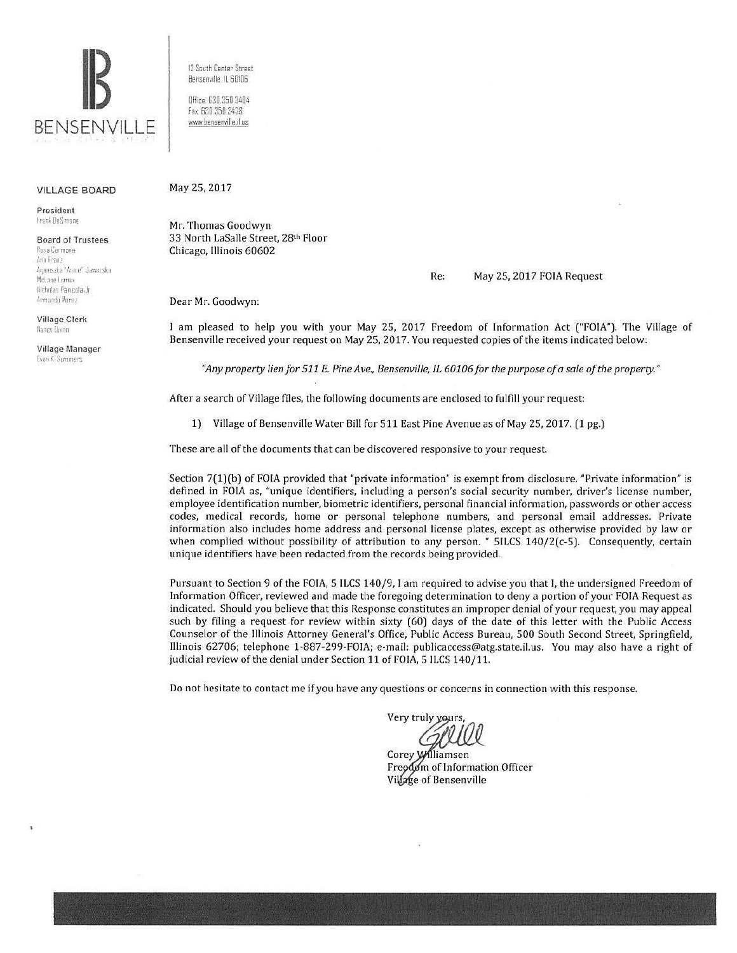

VILLAGE BOARD

President frank DeSimone

Board of Trustees Rosa Carmona ;\nn **rran:**  A~11 *P.S IY:i* 'f.rn **1{** Ja .. ·1orska McLane Lomax Nicholas Panicola Jr. Armando Perez.

Village Clerk Nancy Umnn

Village Manager Evan K. Summers:

12 South Center Street Bensenville IL 60106

0ffice: 630.350.3404 fax 630 350 3438 www.bensenville.il us

## May 25, 2017

Mr. Thomas Goodwyn 33 North LaSalle Street, 28th Floor Chicago, Illinois 60602

## Re: May 25, 2017 FOlA Request

Dear Mr. Goodwyn:

I am pleased to help you with your May 25. 2017 Freedom of Information Act ("FOIA"). The Village of Bensenville received your request on May 25, 2017. You requested copies of the items indicated below:

*"Any property lien for 511 E. Pine Ave., Bensenville, /l 60106 for tile purpose of a sale of tile property."* 

After a search of Village files, the following documents are enclosed to fulfill your request:

1) Village of Bensenville Water Bill for 511 East Pine Avenue as of May 25, 2017. (1 pg.)

These are all of the documents that can be discovered responsive to your request.

Section 7(1)(b) of FOIA provided that "private information" is exempt from disclosure. "Private information" is defined in FOIA as, "unique identifiers, including a person's social security number, driver's license number, employee identification number, biometric identifiers. personal financial information, passwords or other access codes, medical records, home or personal telephone numbers, and personal email addresses. Private information also includes home address and personal license plates, except as otherwise provided by law or when complied without possibility of attribution to any person. " SILCS 140/2(c-5). Consequently, certain unique identifiers have been redacted from the records being provided.

Pursuant to Section 9 of the FOIA, 5 ILCS 140/9, I am required to advise you that I, the undersigned Freedom of Information Officer, reviewed and made the foregoing determination to deny a portion of your FOIA Request as indicated. Should you believe that this Response constitutes an improper denial of your request, you may appeal such by filing a request for review within sixty (60) days of the date of this letter with the Public Access Counselor of the Illinois Attorney General's Office, Public Access Bureau, 500 South Second Street, Springfield, Illinois 62706; telephone 1-887-299-FOIA; e-mail: publicaccess@atg.state.il.us. You may also have a right of judicial review of the denial under Section 11 of FOIA. 5 ILCS 140/11.

Do not hesitate to contact me if you have any questions or concerns in connection with this response.

Very truly yours

Corey Williamsen Freedom of Information Officer Village of Bensenville